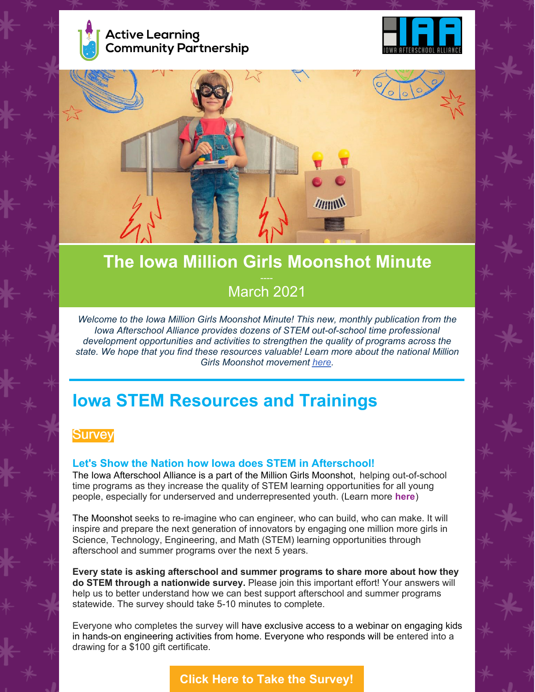





# **The Iowa Million Girls Moonshot Minute** March 2021

*Welcome to the Iowa Million Girls Moonshot Minute! This new, monthly publication from the Iowa Afterschool Alliance provides dozens of STEM out-of-school time professional development opportunities and activities to strengthen the quality of programs across the state. We hope that you find these resources valuable! Learn more about the national Million Girls Moonshot movement [here](https://milliongirlsmoonshot.org/).*

## **Iowa STEM Resources and Trainings**

## **Survey**

#### **Let's Show the Nation how Iowa does STEM in Afterschool!**

The Iowa Afterschool Alliance is a part of the Million Girls Moonshot, helping out-of-school time programs as they increase the quality of STEM learning opportunities for all young people, especially for underserved and underrepresented youth. (Learn more **[here](https://milliongirlsmoonshot.org/)**)

The Moonshot seeks to re-imagine who can engineer, who can build, who can make. It will inspire and prepare the next generation of innovators by engaging one million more girls in Science, Technology, Engineering, and Math (STEM) learning opportunities through afterschool and summer programs over the next 5 years.

**Every state is asking afterschool and summer programs to share more about how they do STEM through a nationwide survey.** Please join this important effort! Your answers will help us to better understand how we can best support afterschool and summer programs statewide. The survey should take 5-10 minutes to complete.

Everyone who completes the survey will have exclusive access to a webinar on engaging kids in hands-on engineering activities from home. Everyone who responds will be entered into a drawing for a \$100 gift certificate.

**Click Here to Take the [Survey!](https://www.surveymonkey.com/r/mgm2021)**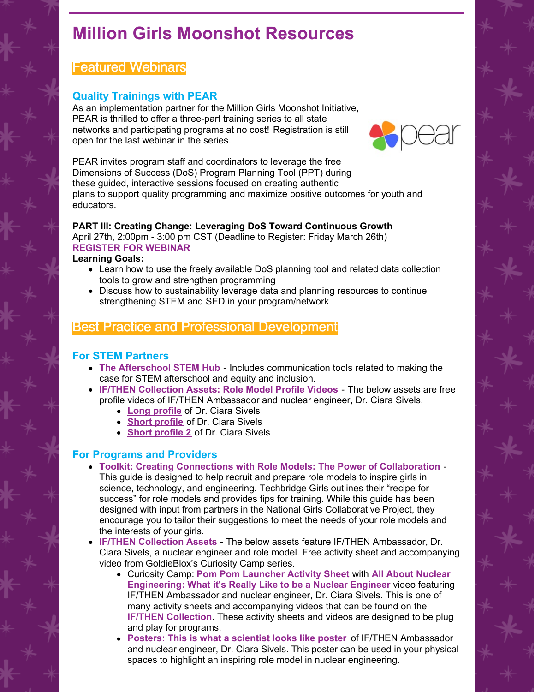## **Million Girls Moonshot Resources**

## Featured Webinars

### **Quality Trainings with PEAR**

As an implementation partner for the Million Girls Moonshot Initiative, PEAR is thrilled to offer a three-part training series to all state networks and participating programs at no cost! Registration is still open for the last webinar in the series.



PEAR invites program staff and coordinators to leverage the free Dimensions of Success (DoS) Program Planning Tool (PPT) during these guided, interactive sessions focused on creating authentic plans to support quality programming and maximize positive outcomes for youth and educators.

#### **PART III: Creating Change: Leveraging DoS Toward Continuous Growth** April 27th, 2:00pm - 3:00 pm CST (Deadline to Register: Friday March 26th) **[REGISTER](https://share.hsforms.com/1f2wO4n9YQTKkf-wxsI82yg4hx3z) FOR WEBINAR**

#### **Learning Goals:**

- Learn how to use the freely available DoS planning tool and related data collection tools to grow and strengthen programming
- Discuss how to sustainability leverage data and planning resources to continue strengthening STEM and SED in your program/network

## Best Practice and Professional Development

#### **For STEM Partners**

- **The [Afterschool](http://www.afterschoolstemhub.org/) STEM Hub** Includes communication tools related to making the case for STEM afterschool and equity and inclusion.
- **IF/THEN [Collection](https://www.ifthencollection.org/) Assets: Role Model Profile Videos** The below assets are free profile videos of IF/THEN Ambassador and nuclear engineer, Dr. Ciara Sivels.
	- **Long [profile](https://ifthen.widen.net/view/video/p89evzxi29/IfThenSummit_Ciara-Sivels_Video-1_TK_v3.mp4?use=0pmqaxm9&x.portal_shortcode_generated=9ymlrpce&x.app=portals)** of Dr. Ciara Sivels
	- **Short [profile](https://ifthen.widen.net/view/video/br53sbegp0/IfThenSummit_Ciara-Sivels_Video-2_TK_v3.mp4?use=0pp2kaxp&x.portal_shortcode_generated=9ymlrpce&x.app=portals)** of Dr. Ciara Sivels
	- **Short [profile](https://ifthen.widen.net/view/video/apmx7wxm4d/IfThenSummit_Ciara-Sivels_Video-3_TK_v3.mp4?use=0pp2kaxp&x.portal_shortcode_generated=9ymlrpce&x.app=portals) 2** of Dr. Ciara Sivels

#### **For Programs and Providers**

- **Toolkit: Creating Connections with Role Models: The Power of [Collaboration](https://techbridgegirls.org/assets/files/role-model/NGCP Role Model Guide Web Version.pdf)** This guide is designed to help recruit and prepare role models to inspire girls in science, technology, and engineering. Techbridge Girls outlines their "recipe for success" for role models and provides tips for training. While this guide has been designed with input from partners in the National Girls Collaborative Project, they encourage you to tailor their suggestions to meet the needs of your role models and the interests of your girls.
- **IF/THEN [Collection](https://www.ifthencollection.org/) Assets** The below assets feature IF/THEN Ambassador, Dr. Ciara Sivels, a nuclear engineer and role model. Free activity sheet and accompanying video from GoldieBlox's Curiosity Camp series.
	- Curiosity Camp[:](https://ifthen.widen.net/view/pdf/xcbg3lmlfe/CC_Ep_06.pdf?t.download=true&use=xzmqofno&x.portal_shortcode_generated=9ymlrpce&x.app=portals) **Pom Pom [Launcher](https://ifthen.widen.net/view/pdf/xcbg3lmlfe/CC_Ep_06.pdf?t.download=true&use=xzmqofno&x.portal_shortcode_generated=9ymlrpce&x.app=portals) Activity Sheet** wit[h](https://ifthen.widen.net/view/video/titbtczfw4/CC_s02e05.mp4?use=0pp2kaxp&x.portal_shortcode_generated=9ymlrpce&x.app=portals) **All About Nuclear [Engineering:](https://ifthen.widen.net/view/video/titbtczfw4/CC_s02e05.mp4?use=0pp2kaxp&x.portal_shortcode_generated=9ymlrpce&x.app=portals) What it's Really Like to be a Nuclear Engineer** video featuring IF/THEN Ambassador and nuclear engineer, Dr. Ciara Sivels. This is one of many activity sheets and accompanying videos that can be found on the **IF/THEN [Collection](https://www.ifthencollection.org/)**. These activity sheets and videos are designed to be plug and play for programs.
	- **[Posters:](https://ifthen.widen.net/view/pdf/noj5sacody/Ciara-Sivels-Poster.pdf?t.download=true&use=napzwaop&x.portal_shortcode_generated=9ymlrpce&x.app=portals) This is what a [scientist](https://ifthen.widen.net/view/pdf/noj5sacody/Ciara-Sivels-Poster.pdf?t.download=true&use=napzwaop&x.portal_shortcode_generated=9ymlrpce&x.app=portals) looks like poster** of IF/THEN Ambassador and nuclear engineer, Dr. Ciara Sivels. This poster can be used in your physical spaces to highlight an inspiring role model in nuclear engineering.